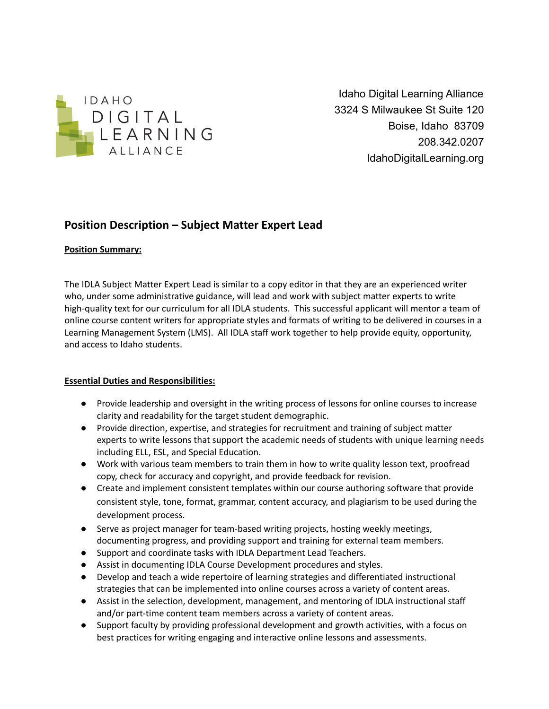

Idaho Digital Learning Alliance 3324 S Milwaukee St Suite 120 Boise, Idaho 83709 208.342.0207 IdahoDigitalLearning.org

# **Position Description – Subject Matter Expert Lead**

#### **Position Summary:**

The IDLA Subject Matter Expert Lead is similar to a copy editor in that they are an experienced writer who, under some administrative guidance, will lead and work with subject matter experts to write high-quality text for our curriculum for all IDLA students. This successful applicant will mentor a team of online course content writers for appropriate styles and formats of writing to be delivered in courses in a Learning Management System (LMS). All IDLA staff work together to help provide equity, opportunity, and access to Idaho students.

#### **Essential Duties and Responsibilities:**

- Provide leadership and oversight in the writing process of lessons for online courses to increase clarity and readability for the target student demographic.
- Provide direction, expertise, and strategies for recruitment and training of subject matter experts to write lessons that support the academic needs of students with unique learning needs including ELL, ESL, and Special Education.
- Work with various team members to train them in how to write quality lesson text, proofread copy, check for accuracy and copyright, and provide feedback for revision.
- Create and implement consistent templates within our course authoring software that provide consistent style, tone, format, grammar, content accuracy, and plagiarism to be used during the development process.
- Serve as project manager for team-based writing projects, hosting weekly meetings, documenting progress, and providing support and training for external team members.
- Support and coordinate tasks with IDLA Department Lead Teachers.
- Assist in documenting IDLA Course Development procedures and styles.
- Develop and teach a wide repertoire of learning strategies and differentiated instructional strategies that can be implemented into online courses across a variety of content areas.
- Assist in the selection, development, management, and mentoring of IDLA instructional staff and/or part-time content team members across a variety of content areas.
- Support faculty by providing professional development and growth activities, with a focus on best practices for writing engaging and interactive online lessons and assessments.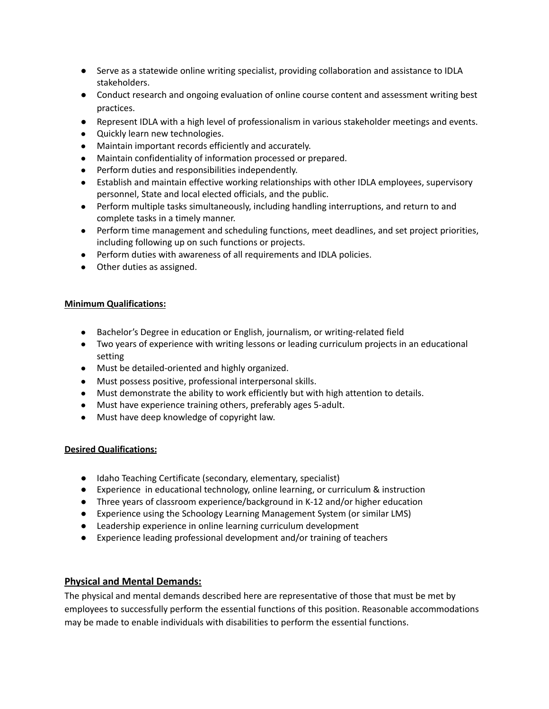- Serve as a statewide online writing specialist, providing collaboration and assistance to IDLA stakeholders.
- Conduct research and ongoing evaluation of online course content and assessment writing best practices.
- Represent IDLA with a high level of professionalism in various stakeholder meetings and events.
- Quickly learn new technologies.
- Maintain important records efficiently and accurately.
- Maintain confidentiality of information processed or prepared.
- Perform duties and responsibilities independently.
- Establish and maintain effective working relationships with other IDLA employees, supervisory personnel, State and local elected officials, and the public.
- Perform multiple tasks simultaneously, including handling interruptions, and return to and complete tasks in a timely manner.
- Perform time management and scheduling functions, meet deadlines, and set project priorities, including following up on such functions or projects.
- Perform duties with awareness of all requirements and IDLA policies.
- Other duties as assigned.

#### **Minimum Qualifications:**

- Bachelor's Degree in education or English, journalism, or writing-related field
- Two years of experience with writing lessons or leading curriculum projects in an educational setting
- Must be detailed-oriented and highly organized.
- Must possess positive, professional interpersonal skills.
- Must demonstrate the ability to work efficiently but with high attention to details.
- Must have experience training others, preferably ages 5-adult.
- Must have deep knowledge of copyright law.

## **Desired Qualifications:**

- Idaho Teaching Certificate (secondary, elementary, specialist)
- Experience in educational technology, online learning, or curriculum & instruction
- Three years of classroom experience/background in K-12 and/or higher education
- Experience using the Schoology Learning Management System (or similar LMS)
- Leadership experience in online learning curriculum development
- Experience leading professional development and/or training of teachers

## **Physical and Mental Demands:**

The physical and mental demands described here are representative of those that must be met by employees to successfully perform the essential functions of this position. Reasonable accommodations may be made to enable individuals with disabilities to perform the essential functions.